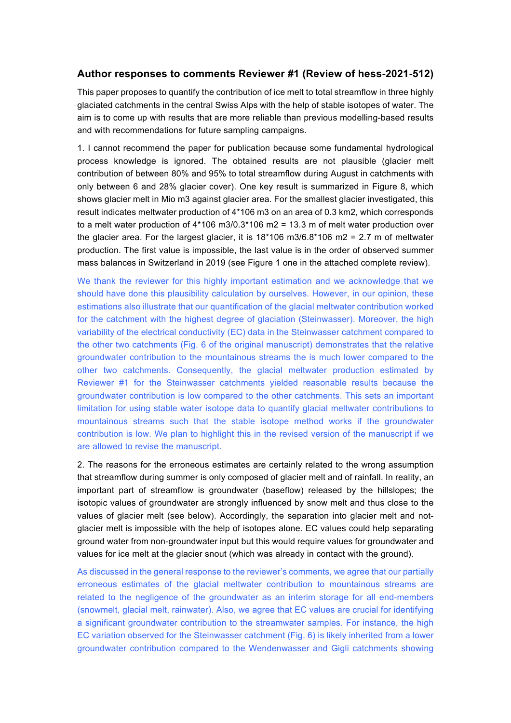## **Author responses to comments Reviewer #1 (Review of hess-2021-512)**

This paper proposes to quantify the contribution of ice melt to total streamflow in three highly glaciated catchments in the central Swiss Alps with the help of stable isotopes of water. The aim is to come up with results that are more reliable than previous modelling-based results and with recommendations for future sampling campaigns.

1. I cannot recommend the paper for publication because some fundamental hydrological process knowledge is ignored. The obtained results are not plausible (glacier melt contribution of between 80% and 95% to total streamflow during August in catchments with only between 6 and 28% glacier cover). One key result is summarized in Figure 8, which shows glacier melt in Mio m3 against glacier area. For the smallest glacier investigated, this result indicates meltwater production of 4\*106 m3 on an area of 0.3 km2, which corresponds to a melt water production of  $4*106 \text{ m}3/0.3*106 \text{ m}2 = 13.3 \text{ m}$  of melt water production over the glacier area. For the largest glacier, it is 18\*106 m3/6.8\*106 m2 = 2.7 m of meltwater production. The first value is impossible, the last value is in the order of observed summer mass balances in Switzerland in 2019 (see Figure 1 one in the attached complete review).

We thank the reviewer for this highly important estimation and we acknowledge that we should have done this plausibility calculation by ourselves. However, in our opinion, these estimations also illustrate that our quantification of the glacial meltwater contribution worked for the catchment with the highest degree of glaciation (Steinwasser). Moreover, the high variability of the electrical conductivity (EC) data in the Steinwasser catchment compared to the other two catchments (Fig. 6 of the original manuscript) demonstrates that the relative groundwater contribution to the mountainous streams the is much lower compared to the other two catchments. Consequently, the glacial meltwater production estimated by Reviewer #1 for the Steinwasser catchments yielded reasonable results because the groundwater contribution is low compared to the other catchments. This sets an important limitation for using stable water isotope data to quantify glacial meltwater contributions to mountainous streams such that the stable isotope method works if the groundwater contribution is low. We plan to highlight this in the revised version of the manuscript if we are allowed to revise the manuscript.

2. The reasons for the erroneous estimates are certainly related to the wrong assumption that streamflow during summer is only composed of glacier melt and of rainfall. In reality, an important part of streamflow is groundwater (baseflow) released by the hillslopes; the isotopic values of groundwater are strongly influenced by snow melt and thus close to the values of glacier melt (see below). Accordingly, the separation into glacier melt and notglacier melt is impossible with the help of isotopes alone. EC values could help separating ground water from non-groundwater input but this would require values for groundwater and values for ice melt at the glacier snout (which was already in contact with the ground).

As discussed in the general response to the reviewer's comments, we agree that our partially erroneous estimates of the glacial meltwater contribution to mountainous streams are related to the negligence of the groundwater as an interim storage for all end-members (snowmelt, glacial melt, rainwater). Also, we agree that EC values are crucial for identifying a significant groundwater contribution to the streamwater samples. For instance, the high EC variation observed for the Steinwasser catchment (Fig. 6) is likely inherited from a lower groundwater contribution compared to the Wendenwasser and Gigli catchments showing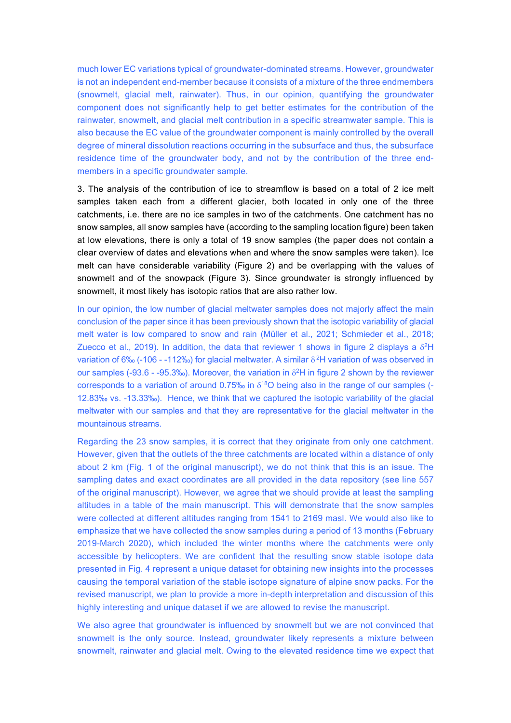much lower EC variations typical of groundwater-dominated streams. However, groundwater is not an independent end-member because it consists of a mixture of the three endmembers (snowmelt, glacial melt, rainwater). Thus, in our opinion, quantifying the groundwater component does not significantly help to get better estimates for the contribution of the rainwater, snowmelt, and glacial melt contribution in a specific streamwater sample. This is also because the EC value of the groundwater component is mainly controlled by the overall degree of mineral dissolution reactions occurring in the subsurface and thus, the subsurface residence time of the groundwater body, and not by the contribution of the three endmembers in a specific groundwater sample.

3. The analysis of the contribution of ice to streamflow is based on a total of 2 ice melt samples taken each from a different glacier, both located in only one of the three catchments, i.e. there are no ice samples in two of the catchments. One catchment has no snow samples, all snow samples have (according to the sampling location figure) been taken at low elevations, there is only a total of 19 snow samples (the paper does not contain a clear overview of dates and elevations when and where the snow samples were taken). Ice melt can have considerable variability (Figure 2) and be overlapping with the values of snowmelt and of the snowpack (Figure 3). Since groundwater is strongly influenced by snowmelt, it most likely has isotopic ratios that are also rather low.

In our opinion, the low number of glacial meltwater samples does not majorly affect the main conclusion of the paper since it has been previously shown that the isotopic variability of glacial melt water is low compared to snow and rain (Müller et al., 2021; Schmieder et al., 2018; Zuecco et al., 2019). In addition, the data that reviewer 1 shows in figure 2 displays a  $\delta^2$ H variation of 6‰ (-106 - -112‰) for glacial meltwater. A similar  $\delta^2$ H variation of was observed in our samples (-93.6 - -95.3‰). Moreover, the variation in  $\delta^2$ H in figure 2 shown by the reviewer corresponds to a variation of around 0.75‰ in  $\delta^{18}O$  being also in the range of our samples (-12.83‰ vs. -13.33‰). Hence, we think that we captured the isotopic variability of the glacial meltwater with our samples and that they are representative for the glacial meltwater in the mountainous streams.

Regarding the 23 snow samples, it is correct that they originate from only one catchment. However, given that the outlets of the three catchments are located within a distance of only about 2 km (Fig. 1 of the original manuscript), we do not think that this is an issue. The sampling dates and exact coordinates are all provided in the data repository (see line 557 of the original manuscript). However, we agree that we should provide at least the sampling altitudes in a table of the main manuscript. This will demonstrate that the snow samples were collected at different altitudes ranging from 1541 to 2169 masl. We would also like to emphasize that we have collected the snow samples during a period of 13 months (February 2019-March 2020), which included the winter months where the catchments were only accessible by helicopters. We are confident that the resulting snow stable isotope data presented in Fig. 4 represent a unique dataset for obtaining new insights into the processes causing the temporal variation of the stable isotope signature of alpine snow packs. For the revised manuscript, we plan to provide a more in-depth interpretation and discussion of this highly interesting and unique dataset if we are allowed to revise the manuscript.

We also agree that groundwater is influenced by snowmelt but we are not convinced that snowmelt is the only source. Instead, groundwater likely represents a mixture between snowmelt, rainwater and glacial melt. Owing to the elevated residence time we expect that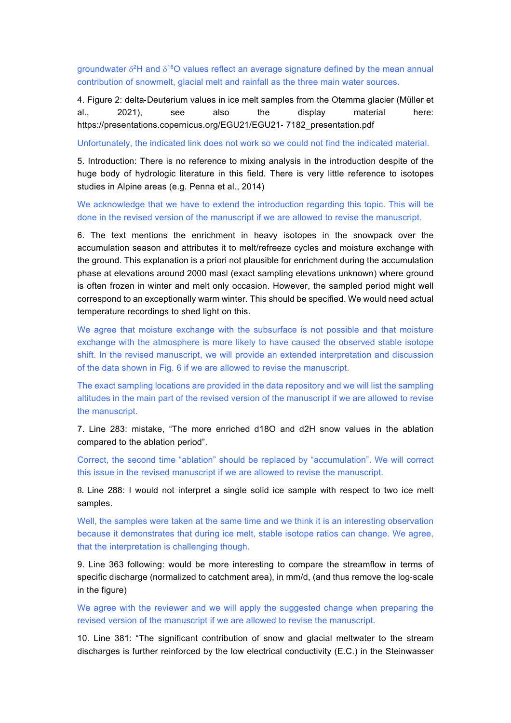groundwater  $\delta^2$ H and  $\delta^{18}$ O values reflect an average signature defined by the mean annual contribution of snowmelt, glacial melt and rainfall as the three main water sources.

4. Figure 2: delta-Deuterium values in ice melt samples from the Otemma glacier (Müller et al., 2021), see also the display material here: https://presentations.copernicus.org/EGU21/EGU21- 7182\_presentation.pdf

Unfortunately, the indicated link does not work so we could not find the indicated material.

5. Introduction: There is no reference to mixing analysis in the introduction despite of the huge body of hydrologic literature in this field. There is very little reference to isotopes studies in Alpine areas (e.g. Penna et al., 2014)

We acknowledge that we have to extend the introduction regarding this topic. This will be done in the revised version of the manuscript if we are allowed to revise the manuscript.

6. The text mentions the enrichment in heavy isotopes in the snowpack over the accumulation season and attributes it to melt/refreeze cycles and moisture exchange with the ground. This explanation is a priori not plausible for enrichment during the accumulation phase at elevations around 2000 masl (exact sampling elevations unknown) where ground is often frozen in winter and melt only occasion. However, the sampled period might well correspond to an exceptionally warm winter. This should be specified. We would need actual temperature recordings to shed light on this.

We agree that moisture exchange with the subsurface is not possible and that moisture exchange with the atmosphere is more likely to have caused the observed stable isotope shift. In the revised manuscript, we will provide an extended interpretation and discussion of the data shown in Fig. 6 if we are allowed to revise the manuscript.

The exact sampling locations are provided in the data repository and we will list the sampling altitudes in the main part of the revised version of the manuscript if we are allowed to revise the manuscript.

7. Line 283: mistake, "The more enriched d18O and d2H snow values in the ablation compared to the ablation period".

Correct, the second time "ablation" should be replaced by "accumulation". We will correct this issue in the revised manuscript if we are allowed to revise the manuscript.

8. Line 288: I would not interpret a single solid ice sample with respect to two ice melt samples.

Well, the samples were taken at the same time and we think it is an interesting observation because it demonstrates that during ice melt, stable isotope ratios can change. We agree, that the interpretation is challenging though.

9. Line 363 following: would be more interesting to compare the streamflow in terms of specific discharge (normalized to catchment area), in mm/d, (and thus remove the log-scale in the figure)

We agree with the reviewer and we will apply the suggested change when preparing the revised version of the manuscript if we are allowed to revise the manuscript.

10. Line 381: "The significant contribution of snow and glacial meltwater to the stream discharges is further reinforced by the low electrical conductivity (E.C.) in the Steinwasser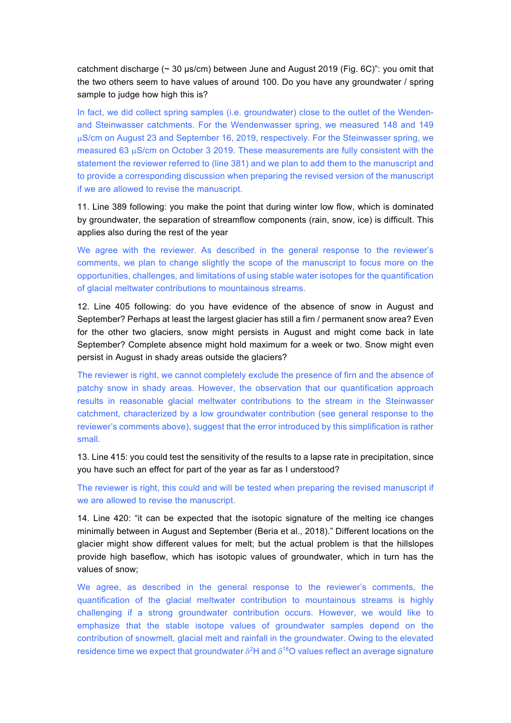catchment discharge (~ 30 μs/cm) between June and August 2019 (Fig. 6C)": you omit that the two others seem to have values of around 100. Do you have any groundwater / spring sample to judge how high this is?

In fact, we did collect spring samples (i.e. groundwater) close to the outlet of the Wendenand Steinwasser catchments. For the Wendenwasser spring, we measured 148 and 149 µS/cm on August 23 and September 16, 2019, respectively. For the Steinwasser spring, we measured 63 µS/cm on October 3 2019. These measurements are fully consistent with the statement the reviewer referred to (line 381) and we plan to add them to the manuscript and to provide a corresponding discussion when preparing the revised version of the manuscript if we are allowed to revise the manuscript.

11. Line 389 following: you make the point that during winter low flow, which is dominated by groundwater, the separation of streamflow components (rain, snow, ice) is difficult. This applies also during the rest of the year

We agree with the reviewer. As described in the general response to the reviewer's comments, we plan to change slightly the scope of the manuscript to focus more on the opportunities, challenges, and limitations of using stable water isotopes for the quantification of glacial meltwater contributions to mountainous streams.

12. Line 405 following: do you have evidence of the absence of snow in August and September? Perhaps at least the largest glacier has still a firn / permanent snow area? Even for the other two glaciers, snow might persists in August and might come back in late September? Complete absence might hold maximum for a week or two. Snow might even persist in August in shady areas outside the glaciers?

The reviewer is right, we cannot completely exclude the presence of firn and the absence of patchy snow in shady areas. However, the observation that our quantification approach results in reasonable glacial meltwater contributions to the stream in the Steinwasser catchment, characterized by a low groundwater contribution (see general response to the reviewer's comments above), suggest that the error introduced by this simplification is rather small.

13. Line 415: you could test the sensitivity of the results to a lapse rate in precipitation, since you have such an effect for part of the year as far as I understood?

The reviewer is right, this could and will be tested when preparing the revised manuscript if we are allowed to revise the manuscript.

14. Line 420: "it can be expected that the isotopic signature of the melting ice changes minimally between in August and September (Beria et al., 2018)." Different locations on the glacier might show different values for melt; but the actual problem is that the hillslopes provide high baseflow, which has isotopic values of groundwater, which in turn has the values of snow;

We agree, as described in the general response to the reviewer's comments, the quantification of the glacial meltwater contribution to mountainous streams is highly challenging if a strong groundwater contribution occurs. However, we would like to emphasize that the stable isotope values of groundwater samples depend on the contribution of snowmelt, glacial melt and rainfall in the groundwater. Owing to the elevated residence time we expect that groundwater  $\delta^2$ H and  $\delta^{18}$ O values reflect an average signature